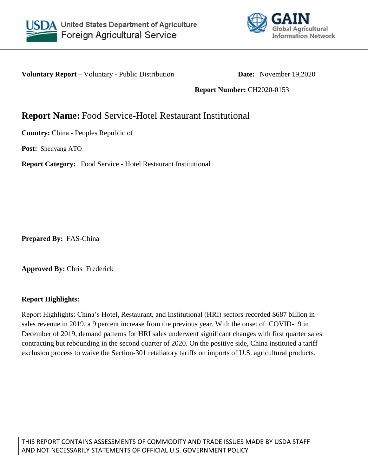



**Voluntary Report** – Voluntary - Public Distribution **Date:** November 19,2020

**Report Number:** CH2020-0153

# **Report Name:** Food Service-Hotel Restaurant Institutional

**Country:** China - Peoples Republic of

**Post:** Shenyang ATO

**Report Category:** Food Service - Hotel Restaurant Institutional

**Prepared By:** FAS-China

**Approved By:** Chris Frederick

## **Report Highlights:**

Report Highlights: China's Hotel, Restaurant, and Institutional (HRI) sectors recorded \$687 billion in sales revenue in 2019, a 9 percent increase from the previous year. With the onset of COVID-19 in December of 2019, demand patterns for HRI sales underwent significant changes with first quarter sales contracting but rebounding in the second quarter of 2020. On the positive side, China instituted a tariff exclusion process to waive the Section-301 retaliatory tariffs on imports of U.S. agricultural products.

THIS REPORT CONTAINS ASSESSMENTS OF COMMODITY AND TRADE ISSUES MADE BY USDA STAFF AND NOT NECESSARILY STATEMENTS OF OFFICIAL U.S. GOVERNMENT POLICY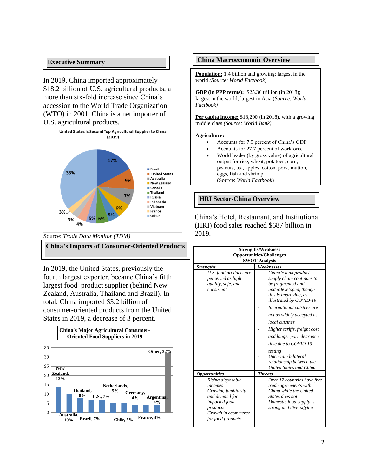#### **Executive Summary**

In 2019, China imported approximately \$18.2 billion of U.S. agricultural products, a more than six-fold increase since China's accession to the World Trade Organization (WTO) in 2001. China is a net importer of U.S. agricultural products.





#### **China's Imports of Consumer-Oriented Products**

In 2019, the United States, previously the fourth largest exporter, became China's fifth largest food product supplier (behind New Zealand, Australia, Thailand and Brazil). In total, China imported \$3.2 billion of consumer-oriented products from the United States in 2019, a decrease of 3 percent.



## *(Source: TDM)* **China Macroeconomic Overview**

**Population:** 1.4 billion and growing; largest in the world *(Source: World Factbook)*

**GDP (in PPP terms):** \$25.36 trillion (in 2018); largest in the world; largest in Asia (*Source: World Factbook)*

**Per capita income:** \$18,200 (in 2018), with a growing middle class *(Source: World Bank)*

#### **Agriculture:**

- Accounts for 7.9 percent of China's GDP
- Accounts for 27.7 percent of workforce
- World leader (by gross value) of agricultural output for rice, wheat, potatoes, corn, peanuts, tea, apples, cotton, pork, mutton, eggs, fish and shrimp (Source: *World Factbook*)

#### **HRI Sector-China Overview**

China's Hotel, Restaurant, and Institutional (HRI) food sales reached \$687 billion in 2019.

| <b>Strengths/Weakness</b><br><b>Opportunities/Challenges</b><br><b>SWOT Analysis</b>                                                                  |                                                                                                                                                                                                                                                                                                                                                                                                                        |  |  |
|-------------------------------------------------------------------------------------------------------------------------------------------------------|------------------------------------------------------------------------------------------------------------------------------------------------------------------------------------------------------------------------------------------------------------------------------------------------------------------------------------------------------------------------------------------------------------------------|--|--|
| Weaknesses<br><b>Strengths</b>                                                                                                                        |                                                                                                                                                                                                                                                                                                                                                                                                                        |  |  |
| U.S. food products are<br>perceived as high<br>quality, safe, and<br>consistent                                                                       | China's food product<br>supply chain continues to<br>be fragmented and<br>underdeveloped, though<br>this is improving, as<br>illustrated by COVID-19<br>International cuisines are<br>not as widely accepted as<br><i>local cuisines</i><br>Higher tariffs, freight cost<br>and longer port clearance<br>time due to COVID-19<br>testing<br>Uncertain bilateral<br>relationship between the<br>United States and China |  |  |
| <i><b>Opportunities</b></i>                                                                                                                           | <b>Threats</b>                                                                                                                                                                                                                                                                                                                                                                                                         |  |  |
| Rising disposable<br>incomes<br>Growing familiarity<br>and demand for<br><i>imported</i> food<br>products<br>Growth in ecommerce<br>for food products | Over 12 countries have free<br>trade agreements with<br>China while the United<br>States does not<br>Domestic food supply is<br>strong and diversifying                                                                                                                                                                                                                                                                |  |  |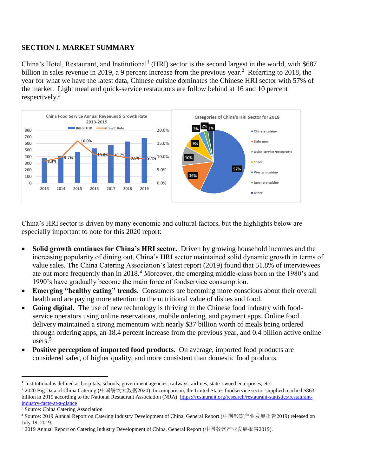## **SECTION I. MARKET SUMMARY**

China's Hotel, Restaurant, and Institutional<sup>1</sup> (HRI) sector is the second largest in the world, with \$687 billion in sales revenue in 2019, a 9 percent increase from the previous year.<sup>2</sup> Referring to 2018, the year for what we have the latest data, Chinese cuisine dominates the Chinese HRI sector with 57% of the market. Light meal and quick-service restaurants are follow behind at 16 and 10 percent respectively. 3



China's HRI sector is driven by many economic and cultural factors, but the highlights below are especially important to note for this 2020 report:

- Solid growth continues for China's HRI sector. Driven by growing household incomes and the increasing popularity of dining out, China's HRI sector maintained solid dynamic growth in terms of value sales. The China Catering Association's latest report (2019) found that 51.8% of interviewees ate out more frequently than in 2018.<sup>4</sup> Moreover, the emerging middle-class born in the 1980's and 1990's have gradually become the main force of foodservice consumption.
- **Emerging "healthy eating" trends.** Consumers are becoming more conscious about their overall health and are paying more attention to the nutritional value of dishes and food.
- **Going digital.** The use of new technology is thriving in the Chinese food industry with foodservice operators using online reservations, mobile ordering, and payment apps. Online food delivery maintained a strong momentum with nearly \$37 billion worth of meals being ordered through ordering apps, an 18.4 percent increase from the previous year, and 0.4 billion active online users.<sup>5</sup>
- **Positive perception of imported food products.** On average, imported food products are considered safer, of higher quality, and more consistent than domestic food products.

 $\overline{a}$ 

**<sup>1</sup>** Institutional is defined as hospitals, schools, government agencies, railways, airlines, state-owned enterprises, etc.

<sup>2</sup> 2020 Big Data of China Catering (中国餐饮大数据2020). In comparison, the United States foodservice sector supplied reached \$863 billion in 2019 according to the National Restaurant Association (NRA)[. https://restaurant.org/research/restaurant-statistics/restaurant](https://restaurant.org/research/restaurant-statistics/restaurant-industry-facts-at-a-glance)[industry-facts-at-a-glance](https://restaurant.org/research/restaurant-statistics/restaurant-industry-facts-at-a-glance) 

<sup>&</sup>lt;sup>3</sup> Source: China Catering Association

<sup>4</sup> Source: 2019 Annual Report on Catering Industry Development of China, General Report (中国餐饮产业发展报告2019) released on July 19, 2019.

<sup>5</sup> 2019 Annual Report on Catering Industry Development of China, General Report (中国餐饮产业发展报告2019).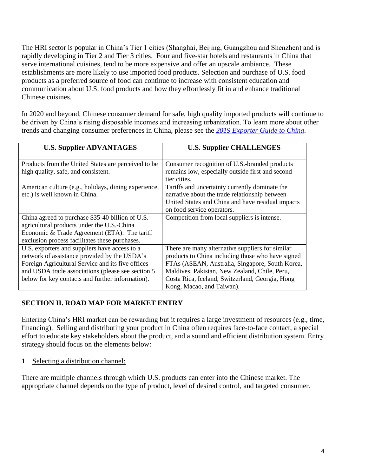The HRI sector is popular in China's Tier 1 cities (Shanghai, Beijing, Guangzhou and Shenzhen) and is rapidly developing in Tier 2 and Tier 3 cities. Four and five-star hotels and restaurants in China that serve international cuisines, tend to be more expensive and offer an upscale ambiance. These establishments are more likely to use imported food products. Selection and purchase of U.S. food products as a preferred source of food can continue to increase with consistent education and communication about U.S. food products and how they effortlessly fit in and enhance traditional Chinese cuisines.

In 2020 and beyond, Chinese consumer demand for safe, high quality imported products will continue to be driven by China's rising disposable incomes and increasing urbanization. To learn more about other trends and changing consumer preferences in China, please see the *[2019 Exporter Guide to China.](https://www.fas.usda.gov/data/china-exporter-guide-2)* 

| <b>U.S. Supplier ADVANTAGES</b>                                                                                                                                                                                                                             | <b>U.S. Supplier CHALLENGES</b>                                                                                                                                                                                                                                                           |
|-------------------------------------------------------------------------------------------------------------------------------------------------------------------------------------------------------------------------------------------------------------|-------------------------------------------------------------------------------------------------------------------------------------------------------------------------------------------------------------------------------------------------------------------------------------------|
| Products from the United States are perceived to be<br>high quality, safe, and consistent.                                                                                                                                                                  | Consumer recognition of U.S.-branded products<br>remains low, especially outside first and second-<br>tier cities.                                                                                                                                                                        |
| American culture (e.g., holidays, dining experience,<br>etc.) is well known in China.                                                                                                                                                                       | Tariffs and uncertainty currently dominate the<br>narrative about the trade relationship between<br>United States and China and have residual impacts<br>on food service operators.                                                                                                       |
| China agreed to purchase \$35-40 billion of U.S.<br>agricultural products under the U.S.-China<br>Economic & Trade Agreement (ETA). The tariff<br>exclusion process facilitates these purchases.                                                            | Competition from local suppliers is intense.                                                                                                                                                                                                                                              |
| U.S. exporters and suppliers have access to a<br>network of assistance provided by the USDA's<br>Foreign Agricultural Service and its five offices<br>and USDA trade associations (please see section 5<br>below for key contacts and further information). | There are many alternative suppliers for similar<br>products to China including those who have signed<br>FTAs (ASEAN, Australia, Singapore, South Korea,<br>Maldives, Pakistan, New Zealand, Chile, Peru,<br>Costa Rica, Iceland, Switzerland, Georgia, Hong<br>Kong, Macao, and Taiwan). |

## **SECTION II. ROAD MAP FOR MARKET ENTRY**

Entering China's HRI market can be rewarding but it requires a large investment of resources (e.g., time, financing). Selling and distributing your product in China often requires face-to-face contact, a special effort to educate key stakeholders about the product, and a sound and efficient distribution system. Entry strategy should focus on the elements below:

1. Selecting a distribution channel:

There are multiple channels through which U.S. products can enter into the Chinese market. The appropriate channel depends on the type of product, level of desired control, and targeted consumer.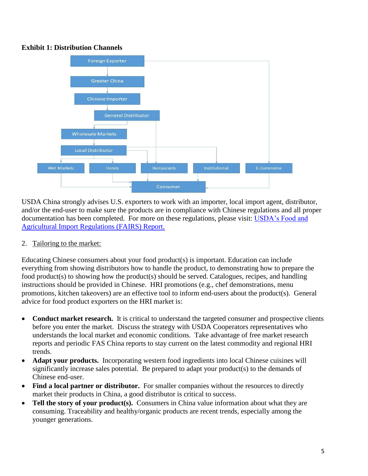## **Exhibit 1: Distribution Channels**



USDA China strongly advises U.S. exporters to work with an importer, local import agent, distributor, and/or the end-user to make sure the products are in compliance with Chinese regulations and all proper documentation has been completed. For more on these regulations, please visit: [USDA's Food and](https://www.fas.usda.gov/data/china-fairs-country-report-3)  [Agricultural Import Regulations \(FAIRS\) Report.](https://www.fas.usda.gov/data/china-fairs-country-report-3)

## 2. Tailoring to the market:

Educating Chinese consumers about your food product(s) is important. Education can include everything from showing distributors how to handle the product, to demonstrating how to prepare the food product(s) to showing how the product(s) should be served. Catalogues, recipes, and handling instructions should be provided in Chinese. HRI promotions (e.g., chef demonstrations, menu promotions, kitchen takeovers) are an effective tool to inform end-users about the product(s). General advice for food product exporters on the HRI market is:

- Conduct market research. It is critical to understand the targeted consumer and prospective clients before you enter the market. Discuss the strategy with USDA Cooperators representatives who understands the local market and economic conditions. Take advantage of free market research reports and periodic FAS China reports to stay current on the latest commodity and regional HRI trends.
- **Adapt your products.** Incorporating western food ingredients into local Chinese cuisines will significantly increase sales potential. Be prepared to adapt your product(s) to the demands of Chinese end-user.
- Find a local partner or distributor. For smaller companies without the resources to directly market their products in China, a good distributor is critical to success.
- **Tell the story of your product(s).** Consumers in China value information about what they are consuming. Traceability and healthy/organic products are recent trends, especially among the younger generations.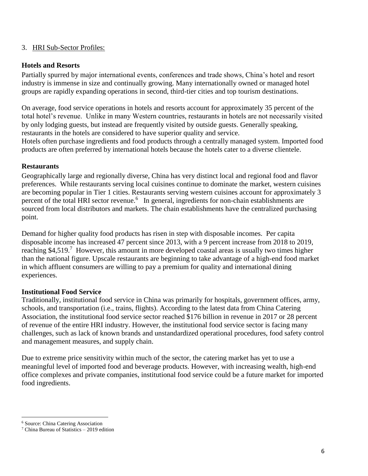### 3. HRI Sub-Sector Profiles:

### **Hotels and Resorts**

Partially spurred by major international events, conferences and trade shows, China's hotel and resort industry is immense in size and continually growing. Many internationally owned or managed hotel groups are rapidly expanding operations in second, third-tier cities and top tourism destinations.

On average, food service operations in hotels and resorts account for approximately 35 percent of the total hotel's revenue. Unlike in many Western countries, restaurants in hotels are not necessarily visited by only lodging guests, but instead are frequently visited by outside guests. Generally speaking, restaurants in the hotels are considered to have superior quality and service.

Hotels often purchase ingredients and food products through a centrally managed system. Imported food products are often preferred by international hotels because the hotels cater to a diverse clientele.

#### **Restaurants**

Geographically large and regionally diverse, China has very distinct local and regional food and flavor preferences. While restaurants serving local cuisines continue to dominate the market, western cuisines are becoming popular in Tier 1 cities. Restaurants serving western cuisines account for approximately 3 percent of the total HRI sector revenue.<sup>6</sup> In general, ingredients for non-chain establishments are sourced from local distributors and markets. The chain establishments have the centralized purchasing point.

Demand for higher quality food products has risen in step with disposable incomes. Per capita disposable income has increased 47 percent since 2013, with a 9 percent increase from 2018 to 2019, reaching \$4,519.<sup>7</sup> However, this amount in more developed coastal areas is usually two times higher than the national figure. Upscale restaurants are beginning to take advantage of a high-end food market in which affluent consumers are willing to pay a premium for quality and international dining experiences.

## **Institutional Food Service**

Traditionally, institutional food service in China was primarily for hospitals, government offices, army, schools, and transportation (i.e., trains, flights). According to the latest data from China Catering Association, the institutional food service sector reached \$176 billion in revenue in 2017 or 28 percent of revenue of the entire HRI industry. However, the institutional food service sector is facing many challenges, such as lack of known brands and unstandardized operational procedures, food safety control and management measures, and supply chain.

Due to extreme price sensitivity within much of the sector, the catering market has yet to use a meaningful level of imported food and beverage products. However, with increasing wealth, high-end office complexes and private companies, institutional food service could be a future market for imported food ingredients.

 $\overline{\phantom{a}}$ 

<sup>6</sup> Source: China Catering Association

<sup>7</sup> China Bureau of Statistics – 2019 edition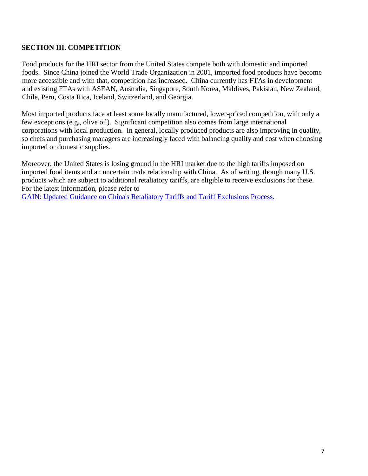## **SECTION III. COMPETITION**

Food products for the HRI sector from the United States compete both with domestic and imported foods. Since China joined the World Trade Organization in 2001, imported food products have become more accessible and with that, competition has increased. China currently has FTAs in development and existing FTAs with ASEAN, Australia, Singapore, South Korea, Maldives, Pakistan, New Zealand, Chile, Peru, Costa Rica, Iceland, Switzerland, and Georgia.

Most imported products face at least some locally manufactured, lower-priced competition, with only a few exceptions (e.g., olive oil). Significant competition also comes from large international corporations with local production. In general, locally produced products are also improving in quality, so chefs and purchasing managers are increasingly faced with balancing quality and cost when choosing imported or domestic supplies.

Moreover, the United States is losing ground in the HRI market due to the high tariffs imposed on imported food items and an uncertain trade relationship with China. As of writing, though many U.S. products which are subject to additional retaliatory tariffs, are eligible to receive exclusions for these. For the latest information, please refer to

GAIN: Updated Guidance on China's Retaliatory Tariffs and Tariff Exclusions Process.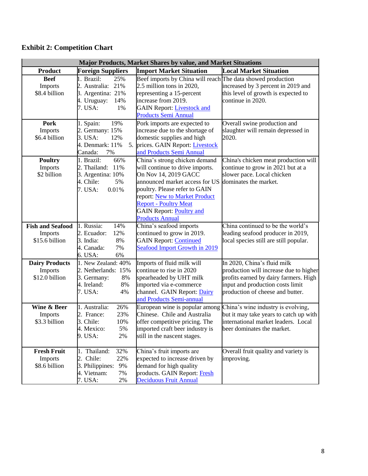## **Exhibit 2: Competition Chart**

| <b>Major Products, Market Shares by value, and Market Situations</b> |                                                                                                        |                                                                                                                                                                                                                                                                                           |                                                                                                                                                                                        |
|----------------------------------------------------------------------|--------------------------------------------------------------------------------------------------------|-------------------------------------------------------------------------------------------------------------------------------------------------------------------------------------------------------------------------------------------------------------------------------------------|----------------------------------------------------------------------------------------------------------------------------------------------------------------------------------------|
| <b>Product</b>                                                       | <b>Foreign Suppliers</b>                                                                               | <b>Import Market Situation</b>                                                                                                                                                                                                                                                            | <b>Local Market Situation</b>                                                                                                                                                          |
| <b>Beef</b><br>Imports<br>\$8.4 billion                              | 1. Brazil:<br>25%<br>2. Australia: 21%<br>3. Argentina: 21%<br>4. Uruguay:<br>14%<br>7. USA:<br>1%     | Beef imports by China will reach The data showed production<br>2.5 million tons in 2020,<br>representing a 15-percent<br>increase from 2019.<br><b>GAIN Report: Livestock and</b><br><b>Products Semi Annual</b>                                                                          | increased by 3 percent in 2019 and<br>this level of growth is expected to<br>continue in 2020.                                                                                         |
| <b>Pork</b><br>Imports<br>\$6.4 billion                              | 19%<br>1. Spain:<br>2. Germany: 15%<br>3. USA:<br>12%<br>4. Denmark: 11%<br>Canada:<br>7%              | Pork imports are expected to<br>increase due to the shortage of<br>domestic supplies and high<br>5. prices. GAIN Report: Livestock<br>and Products Semi Annual                                                                                                                            | Overall swine production and<br>slaughter will remain depressed in<br>2020.                                                                                                            |
| <b>Poultry</b><br>Imports<br>\$2 billion                             | 1. Brazil:<br>66%<br>2. Thailand:<br>11%<br>3. Argentina: 10%<br>4. Chile:<br>5%<br>7. USA:<br>0.01%   | China's strong chicken demand<br>will continue to drive imports.<br>On Nov 14, 2019 GACC<br>announced market access for US<br>poultry. Please refer to GAIN<br>report: New to Market Product<br><b>Report - Poultry Meat</b><br><b>GAIN Report: Poultry and</b><br><b>Products Annual</b> | China's chicken meat production will<br>continue to grow in 2021 but at a<br>slower pace. Local chicken<br>dominates the market.                                                       |
| <b>Fish and Seafood</b><br>Imports<br>\$15.6 billion                 | 1. Russia:<br>14%<br>2. Ecuador:<br>12%<br>3. India:<br>8%<br>7%<br>4. Canada:<br>6. USA:<br>6%        | China's seafood imports<br>continued to grow in 2019.<br><b>GAIN Report: Continued</b><br>Seafood Import Growth in 2019                                                                                                                                                                   | China continued to be the world's<br>leading seafood producer in 2019,<br>local species still are still popular.                                                                       |
| <b>Dairy Products</b><br>Imports<br>\$12.0 billion                   | 1. New Zealand: 40%<br>2. Netherlands: 15%<br>3. Germany:<br>8%<br>4. Ireland:<br>8%<br>7. USA:<br>4%  | Imports of fluid milk will<br>continue to rise in 2020<br>spearheaded by UHT milk<br>imported via e-commerce<br>channel. GAIN Report: Dairy<br>and Products Semi-annual                                                                                                                   | In 2020, China's fluid milk<br>production will increase due to higher<br>profits earned by dairy farmers. High<br>input and production costs limit<br>production of cheese and butter. |
| Wine & Beer<br>Imports<br>\$3.3 billion                              | 26%<br>1. Australia:<br>2. France:<br>23%<br>3. Chile:<br>10%<br>4. Mexico:<br>5%<br>9. USA:<br>2%     | European wine is popular among<br>Chinese. Chile and Australia<br>offer competitive pricing. The<br>imported craft beer industry is<br>still in the nascent stages.                                                                                                                       | China's wine industry is evolving,<br>but it may take years to catch up with<br>international market leaders. Local<br>beer dominates the market.                                      |
| <b>Fresh Fruit</b><br>Imports<br>\$8.6 billion                       | 1. Thailand:<br>32%<br>2. Chile:<br>22%<br>3. Philippines:<br>9%<br>4. Vietnam:<br>7%<br>7. USA:<br>2% | China's fruit imports are<br>expected to increase driven by<br>demand for high quality<br>products. GAIN Report: Fresh<br><b>Deciduous Fruit Annual</b>                                                                                                                                   | Overall fruit quality and variety is<br>improving.                                                                                                                                     |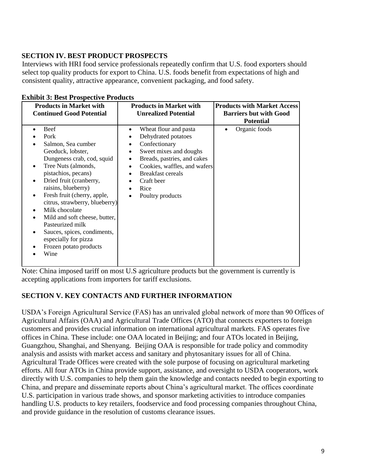## **SECTION IV. BEST PRODUCT PROSPECTS**

Interviews with HRI food service professionals repeatedly confirm that U.S. food exporters should select top quality products for export to China. U.S. foods benefit from expectations of high and consistent quality, attractive appearance, convenient packaging, and food safety.

| <b>Products in Market with</b><br><b>Continued Good Potential</b>                                                                                                                                                                                                                                                                                                                                                                          | <b>Products in Market with</b><br><b>Unrealized Potential</b>                                                                                                                                                                          | <b>Products with Market Access</b><br><b>Barriers but with Good</b><br><b>Potential</b> |
|--------------------------------------------------------------------------------------------------------------------------------------------------------------------------------------------------------------------------------------------------------------------------------------------------------------------------------------------------------------------------------------------------------------------------------------------|----------------------------------------------------------------------------------------------------------------------------------------------------------------------------------------------------------------------------------------|-----------------------------------------------------------------------------------------|
| <b>Beef</b><br>Pork<br>Salmon, Sea cumber<br>Geoduck, lobster,<br>Dungeness crab, cod, squid<br>Tree Nuts (almonds,<br>pistachios, pecans)<br>Dried fruit (cranberry,<br>$\bullet$<br>raisins, blueberry)<br>Fresh fruit (cherry, apple,<br>citrus, strawberry, blueberry)<br>Milk chocolate<br>Mild and soft cheese, butter,<br>Pasteurized milk<br>Sauces, spices, condiments,<br>especially for pizza<br>Frozen potato products<br>Wine | Wheat flour and pasta<br>Dehydrated potatoes<br>Confectionary<br>Sweet mixes and doughs<br>Breads, pastries, and cakes<br>٠<br>Cookies, waffles, and wafers<br>٠<br><b>Breakfast cereals</b><br>Craft beer<br>Rice<br>Poultry products | Organic foods                                                                           |

#### **Exhibit 3: Best Prospective Products**

Note: China imposed tariff on most U.S agriculture products but the government is currently is accepting applications from importers for tariff exclusions.

## **SECTION V. KEY CONTACTS AND FURTHER INFORMATION**

USDA's Foreign Agricultural Service (FAS) has an unrivaled global network of more than 90 Offices of Agricultural Affairs (OAA) and Agricultural Trade Offices (ATO) that connects exporters to foreign customers and provides crucial information on international agricultural markets. FAS operates five offices in China. These include: one OAA located in Beijing; and four ATOs located in Beijing, Guangzhou, Shanghai, and Shenyang. Beijing OAA is responsible for trade policy and commodity analysis and assists with market access and sanitary and phytosanitary issues for all of China. Agricultural Trade Offices were created with the sole purpose of focusing on agricultural marketing efforts. All four ATOs in China provide support, assistance, and oversight to USDA cooperators, work directly with U.S. companies to help them gain the knowledge and contacts needed to begin exporting to China, and prepare and disseminate reports about China's agricultural market. The offices coordinate U.S. participation in various trade shows, and sponsor marketing activities to introduce companies handling U.S. products to key retailers, foodservice and food processing companies throughout China, and provide guidance in the resolution of customs clearance issues.